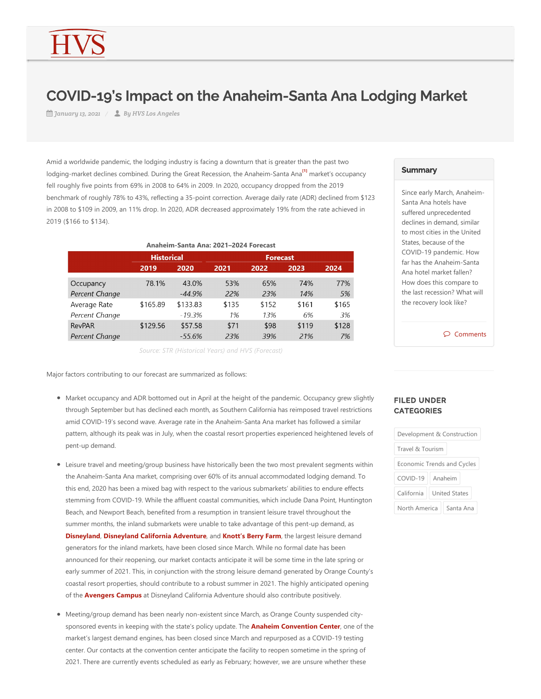## COVID-19's Impact on the Anaheim-Santa Ana Lodging Market

*January 13, 2021 By HVS Los Angeles*

Amid a worldwide pandemic, the lodging industry is facing a downturn that is greater than the past two lodging-market declines combined. During the Great Recession, the Anaheim-Santa Ana<sup>t11</sup> market's occupancy fell roughly five points from 69% in 2008 to 64% in 2009. In 2020, occupancy dropped from the 2019 benchmark of roughly 78% to 43%, reflecting a 35-point correction. Average daily rate (ADR) declined from \$123 in 2008 to \$109 in 2009, an 11% drop. In 2020, ADR decreased approximately 19% from the rate achieved in 2019 (\$166 to \$134).

| Anaheim-Santa Ana: 2021-2024 Forecast |                   |          |                 |       |       |       |  |
|---------------------------------------|-------------------|----------|-----------------|-------|-------|-------|--|
|                                       | <b>Historical</b> |          | <b>Forecast</b> |       |       |       |  |
|                                       | 2019              | 2020     | 2021            | 2022  | 2023  | 2024  |  |
| Occupancy                             | 78.1%             | 43.0%    | 53%             | 65%   | 74%   | 77%   |  |
| Percent Change                        |                   | $-44.9%$ | 22%             | 23%   | 14%   | 5%    |  |
| Average Rate                          | \$165.89          | \$133.83 | \$135           | \$152 | \$161 | \$165 |  |
| Percent Change                        |                   | $-19.3%$ | 1%              | 13%   | 6%    | 3%    |  |
| RevPAR                                | \$129.56          | \$57.58  | \$71            | \$98  | \$119 | \$128 |  |
| Percent Change                        |                   | $-55.6%$ | 23%             | 39%   | 21%   | 7%    |  |

*Source: STR (Historical Years) and HVS (Forecast)*

Major factors contributing to our forecast are summarized as follows:

- Market occupancy and ADR bottomed out in April at the height of the pandemic. Occupancy grew slightly through September but has declined each month, as Southern California has reimposed travel restrictions amid COVID‐19's second wave. Average rate in the Anaheim‐Santa Ana market has followed a similar pattern, although its peak was in July, when the coastal resort properties experienced heightened levels of pent‐up demand.
- Leisure travel and meeting/group business have historically been the two most prevalent segments within the Anaheim‐Santa Ana market, comprising over 60% of its annual accommodated lodging demand. To this end, 2020 has been a mixed bag with respect to the various submarkets' abilities to endure effects stemming from COVID‐19. While the affluent coastal communities, which include Dana Point, Huntington Beach, and Newport Beach, benefited from a resumption in transient leisure travel throughout the summer months, the inland submarkets were unable to take advantage of this pent-up demand, as **Disneyland**, **Disneyland California Adventure**, and **Knott's Berry Farm**, the largest leisure demand generators for the inland markets, have been closed since March. While no formal date has been announced for their reopening, our market contacts anticipate it will be some time in the late spring or early summer of 2021. This, in conjunction with the strong leisure demand generated by Orange County's coastal resort properties, should contribute to a robust summer in 2021. The highly anticipated opening of the **Avengers Campus** at Disneyland California Adventure should also contribute positively.
- Meeting/group demand has been nearly non-existent since March, as Orange County suspended citysponsored events in keeping with the state's policy update. The **Anaheim Convention Center**, one of the market's largest demand engines, has been closed since March and repurposed as a COVID‐19 testing center. Our contacts at the convention center anticipate the facility to reopen sometime in the spring of 2021. There are currently events scheduled as early as February; however, we are unsure whether these

## <span id="page-0-0"></span>**Summary**

Since early March, Anaheim‐ Santa Ana hotels have suffered unprecedented declines in demand, similar to most cities in the United States, because of the COVID‐19 pandemic. How far has the Anaheim‐Santa Ana hotel market fallen? How does this compare to the last recession? What will the recovery look like?

Comments

## FILED UNDER **CATEGORIES**

| Development & Construction |                      |  |  |  |
|----------------------------|----------------------|--|--|--|
| Travel & Tourism           |                      |  |  |  |
| Economic Trends and Cycles |                      |  |  |  |
| COVID-19                   | Anaheim              |  |  |  |
| California                 | <b>United States</b> |  |  |  |
| North America              | Santa Ana            |  |  |  |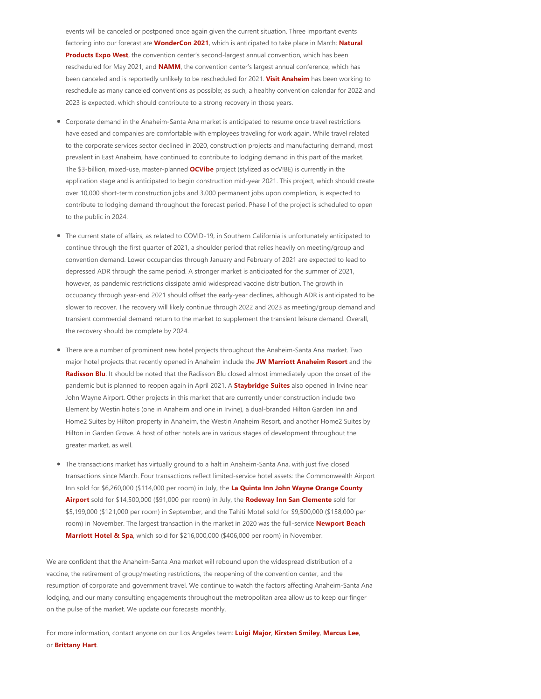events will be canceled or postponed once again given the current situation. Three important events factoring into our forecast are **WonderCon 2021**, which is anticipated to take place in March; **Natural Products Expo West**, the convention center's second-largest annual convention, which has been rescheduled for May 2021; and **NAMM**, the convention center's largest annual conference, which has been canceled and is reportedly unlikely to be rescheduled for 2021. **Visit Anaheim** has been working to reschedule as many canceled conventions as possible; as such, a healthy convention calendar for 2022 and 2023 is expected, which should contribute to a strong recovery in those years.

- Corporate demand in the Anaheim‐Santa Ana market is anticipated to resume once travel restrictions have eased and companies are comfortable with employees traveling for work again. While travel related to the corporate services sector declined in 2020, construction projects and manufacturing demand, most prevalent in East Anaheim, have continued to contribute to lodging demand in this part of the market. The \$3-billion, mixed-use, master-planned **OCVibe** project (stylized as ocV!BE) is currently in the application stage and is anticipated to begin construction mid-year 2021. This project, which should create over 10,000 short‐term construction jobs and 3,000 permanent jobs upon completion, is expected to contribute to lodging demand throughout the forecast period. Phase I of the project is scheduled to open to the public in 2024.
- The current state of affairs, as related to COVID‐19, in Southern California is unfortunately anticipated to continue through the first quarter of 2021, a shoulder period that relies heavily on meeting/group and convention demand. Lower occupancies through January and February of 2021 are expected to lead to depressed ADR through the same period. A stronger market is anticipated for the summer of 2021, however, as pandemic restrictions dissipate amid widespread vaccine distribution. The growth in occupancy through year‐end 2021 should offset the early‐year declines, although ADR is anticipated to be slower to recover. The recovery will likely continue through 2022 and 2023 as meeting/group demand and transient commercial demand return to the market to supplement the transient leisure demand. Overall, the recovery should be complete by 2024.
- There are a number of prominent new hotel projects throughout the Anaheim‐Santa Ana market. Two major hotel projects that recently opened in Anaheim include the **JW Marriott Anaheim Resort** and the **Radisson Blu**. It should be noted that the Radisson Blu closed almost immediately upon the onset of the pandemic but is planned to reopen again in April 2021. A **Staybridge Suites** also opened in Irvine near John Wayne Airport. Other projects in this market that are currently under construction include two Element by Westin hotels (one in Anaheim and one in Irvine), a dual-branded Hilton Garden Inn and Home2 Suites by Hilton property in Anaheim, the Westin Anaheim Resort, and another Home2 Suites by Hilton in Garden Grove. A host of other hotels are in various stages of development throughout the greater market, as well.
- The transactions market has virtually ground to a halt in Anaheim‐Santa Ana, with just five closed transactions since March. Four transactions reflect limited‐service hotel assets: the Commonwealth Airport Inn sold for \$6,260,000 (\$114,000 per room) in July, the La Quinta Inn John Wayne Orange County Airport sold for \$14,500,000 (\$91,000 per room) in July, the Rodeway Inn San Clemente sold for \$5,199,000 (\$121,000 per room) in September, and the Tahiti Motel sold for \$9,500,000 (\$158,000 per room) in November. The largest transaction in the market in 2020 was the full-service **Newport Beach** Marriott Hotel & Spa, which sold for \$216,000,000 (\$406,000 per room) in November.

We are confident that the Anaheim‐Santa Ana market will rebound upon the widespread distribution of a vaccine, the retirement of group/meeting restrictions, the reopening of the convention center, and the resumption of corporate and government travel. We continue to watch the factors affecting Anaheim‐Santa Ana lodging, and our many consulting engagements throughout the metropolitan area allow us to keep our finger on the pulse of the market. We update our forecasts monthly.

For more information, contact anyone on our Los Angeles team: **Luigi Major**, **Kirsten Smiley**, **Marcus Lee**, or **Brittany Hart**.